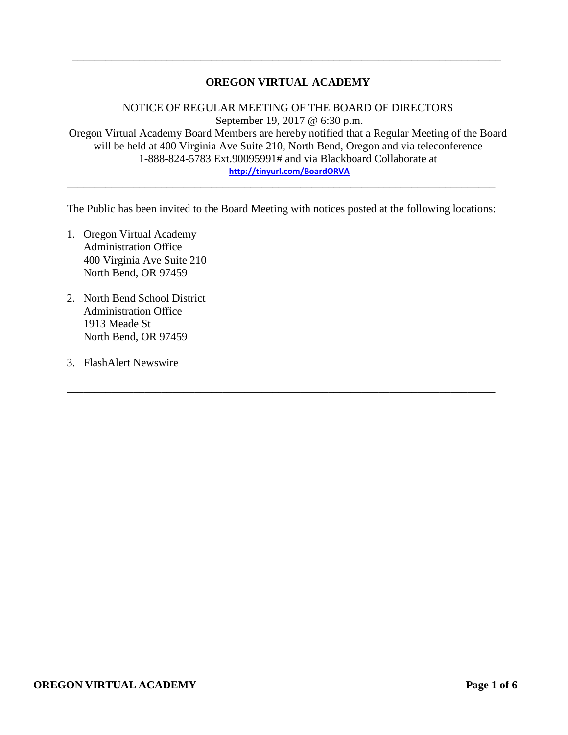### **OREGON VIRTUAL ACADEMY**

\_\_\_\_\_\_\_\_\_\_\_\_\_\_\_\_\_\_\_\_\_\_\_\_\_\_\_\_\_\_\_\_\_\_\_\_\_\_\_\_\_\_\_\_\_\_\_\_\_\_\_\_\_\_\_\_\_\_\_\_\_\_\_\_\_\_\_\_\_\_\_\_\_\_\_\_\_

NOTICE OF REGULAR MEETING OF THE BOARD OF DIRECTORS September 19, 2017 @ 6:30 p.m. Oregon Virtual Academy Board Members are hereby notified that a Regular Meeting of the Board will be held at 400 Virginia Ave Suite 210, North Bend, Oregon and via teleconference 1-888-824-5783 Ext.90095991# and via Blackboard Collaborate at **<http://tinyurl.com/BoardORVA>**

The Public has been invited to the Board Meeting with notices posted at the following locations:

\_\_\_\_\_\_\_\_\_\_\_\_\_\_\_\_\_\_\_\_\_\_\_\_\_\_\_\_\_\_\_\_\_\_\_\_\_\_\_\_\_\_\_\_\_\_\_\_\_\_\_\_\_\_\_\_\_\_\_\_\_\_\_\_\_\_\_\_\_\_\_\_\_\_\_\_\_

\_\_\_\_\_\_\_\_\_\_\_\_\_\_\_\_\_\_\_\_\_\_\_\_\_\_\_\_\_\_\_\_\_\_\_\_\_\_\_\_\_\_\_\_\_\_\_\_\_\_\_\_\_\_\_\_\_\_\_\_\_\_\_\_\_\_\_\_\_\_\_\_\_\_\_\_\_

- 1. Oregon Virtual Academy Administration Office 400 Virginia Ave Suite 210 North Bend, OR 97459
- 2. North Bend School District Administration Office 1913 Meade St North Bend, OR 97459
- 3. FlashAlert Newswire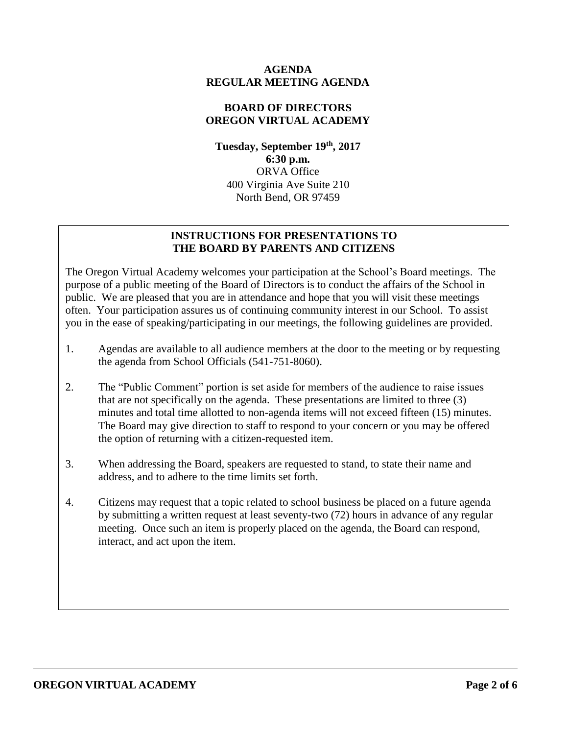### **AGENDA REGULAR MEETING AGENDA**

### **BOARD OF DIRECTORS OREGON VIRTUAL ACADEMY**

**Tuesday, September 19th , 2017 6:30 p.m.** ORVA Office 400 Virginia Ave Suite 210 North Bend, OR 97459

### **INSTRUCTIONS FOR PRESENTATIONS TO THE BOARD BY PARENTS AND CITIZENS**

The Oregon Virtual Academy welcomes your participation at the School's Board meetings. The purpose of a public meeting of the Board of Directors is to conduct the affairs of the School in public. We are pleased that you are in attendance and hope that you will visit these meetings often. Your participation assures us of continuing community interest in our School. To assist you in the ease of speaking/participating in our meetings, the following guidelines are provided.

- 1. Agendas are available to all audience members at the door to the meeting or by requesting the agenda from School Officials (541-751-8060).
- 2. The "Public Comment" portion is set aside for members of the audience to raise issues that are not specifically on the agenda. These presentations are limited to three (3) minutes and total time allotted to non-agenda items will not exceed fifteen (15) minutes. The Board may give direction to staff to respond to your concern or you may be offered the option of returning with a citizen-requested item.
- 3. When addressing the Board, speakers are requested to stand, to state their name and address, and to adhere to the time limits set forth.
- 4. Citizens may request that a topic related to school business be placed on a future agenda by submitting a written request at least seventy-two (72) hours in advance of any regular meeting. Once such an item is properly placed on the agenda, the Board can respond, interact, and act upon the item.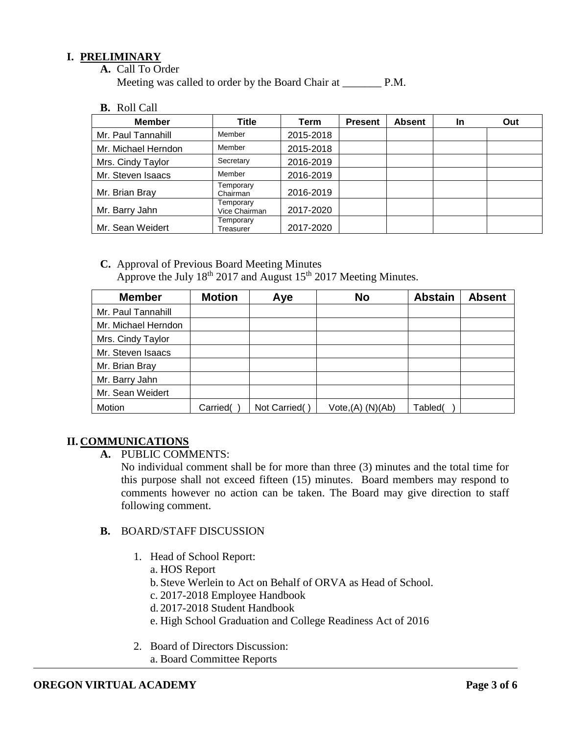### **I. PRELIMINARY**

**A.** Call To Order

Meeting was called to order by the Board Chair at P.M.

**B.** Roll Call

| <b>Member</b>       | Title                      | Term      | <b>Present</b> | <b>Absent</b> | In | Out |
|---------------------|----------------------------|-----------|----------------|---------------|----|-----|
| Mr. Paul Tannahill  | Member                     | 2015-2018 |                |               |    |     |
| Mr. Michael Herndon | Member                     | 2015-2018 |                |               |    |     |
| Mrs. Cindy Taylor   | Secretary                  | 2016-2019 |                |               |    |     |
| Mr. Steven Isaacs   | Member                     | 2016-2019 |                |               |    |     |
| Mr. Brian Bray      | Temporary<br>Chairman      | 2016-2019 |                |               |    |     |
| Mr. Barry Jahn      | Temporary<br>Vice Chairman | 2017-2020 |                |               |    |     |
| Mr. Sean Weidert    | Temporary<br>Treasurer     | 2017-2020 |                |               |    |     |

**C.** Approval of Previous Board Meeting Minutes Approve the July  $18^{th}$  2017 and August  $15^{th}$  2017 Meeting Minutes.

| <b>Member</b>       | <b>Motion</b> | Aye           | <b>No</b>        | <b>Abstain</b> | <b>Absent</b> |
|---------------------|---------------|---------------|------------------|----------------|---------------|
| Mr. Paul Tannahill  |               |               |                  |                |               |
| Mr. Michael Herndon |               |               |                  |                |               |
| Mrs. Cindy Taylor   |               |               |                  |                |               |
| Mr. Steven Isaacs   |               |               |                  |                |               |
| Mr. Brian Bray      |               |               |                  |                |               |
| Mr. Barry Jahn      |               |               |                  |                |               |
| Mr. Sean Weidert    |               |               |                  |                |               |
| Motion              | Carried(      | Not Carried() | Vote,(A) (N)(Ab) | Tabled(        |               |

### **II. COMMUNICATIONS**

**A.** PUBLIC COMMENTS:

No individual comment shall be for more than three (3) minutes and the total time for this purpose shall not exceed fifteen (15) minutes. Board members may respond to comments however no action can be taken. The Board may give direction to staff following comment.

### **B.** BOARD/STAFF DISCUSSION

- 1. Head of School Report:
	- a. HOS Report
	- b. Steve Werlein to Act on Behalf of ORVA as Head of School.
	- c. 2017-2018 Employee Handbook
	- d. 2017-2018 Student Handbook
	- e. High School Graduation and College Readiness Act of 2016
- 2. Board of Directors Discussion: a. Board Committee Reports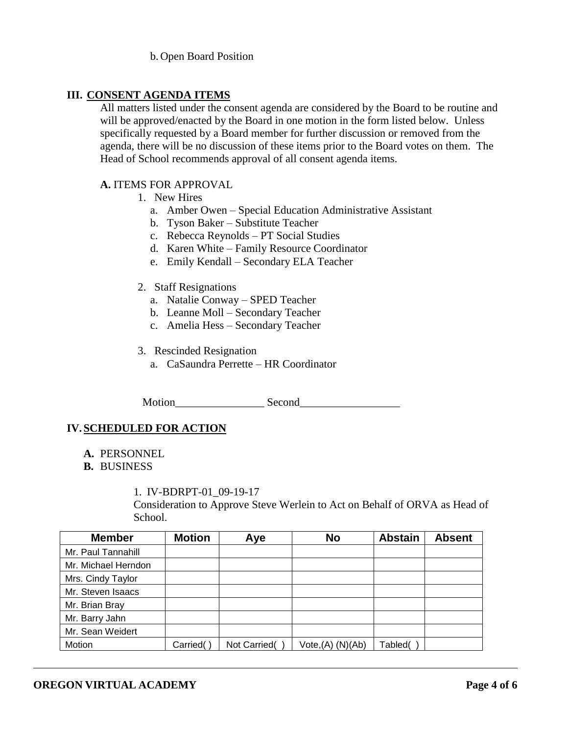b. Open Board Position

### **III. CONSENT AGENDA ITEMS**

All matters listed under the consent agenda are considered by the Board to be routine and will be approved/enacted by the Board in one motion in the form listed below. Unless specifically requested by a Board member for further discussion or removed from the agenda, there will be no discussion of these items prior to the Board votes on them. The Head of School recommends approval of all consent agenda items.

### **A.** ITEMS FOR APPROVAL

- 1. New Hires
	- a. Amber Owen Special Education Administrative Assistant
	- b. Tyson Baker Substitute Teacher
	- c. Rebecca Reynolds PT Social Studies
	- d. Karen White Family Resource Coordinator
	- e. Emily Kendall Secondary ELA Teacher
- 2. Staff Resignations
	- a. Natalie Conway SPED Teacher
	- b. Leanne Moll Secondary Teacher
	- c. Amelia Hess Secondary Teacher

### 3. Rescinded Resignation

a. CaSaundra Perrette – HR Coordinator

Motion\_\_\_\_\_\_\_\_\_\_\_\_\_\_\_\_ Second\_\_\_\_\_\_\_\_\_\_\_\_\_\_\_\_\_\_

# **IV.SCHEDULED FOR ACTION**

**A.** PERSONNEL

#### **B.** BUSINESS

1. IV-BDRPT-01\_09-19-17

Consideration to Approve Steve Werlein to Act on Behalf of ORVA as Head of School.

| <b>Member</b>       | <b>Motion</b> | Aye          | <b>No</b>            | <b>Abstain</b> | <b>Absent</b> |
|---------------------|---------------|--------------|----------------------|----------------|---------------|
| Mr. Paul Tannahill  |               |              |                      |                |               |
| Mr. Michael Herndon |               |              |                      |                |               |
| Mrs. Cindy Taylor   |               |              |                      |                |               |
| Mr. Steven Isaacs   |               |              |                      |                |               |
| Mr. Brian Bray      |               |              |                      |                |               |
| Mr. Barry Jahn      |               |              |                      |                |               |
| Mr. Sean Weidert    |               |              |                      |                |               |
| Motion              | Carried(      | Not Carried( | $Vote,(A)$ $(N)(Ab)$ | Tabled(        |               |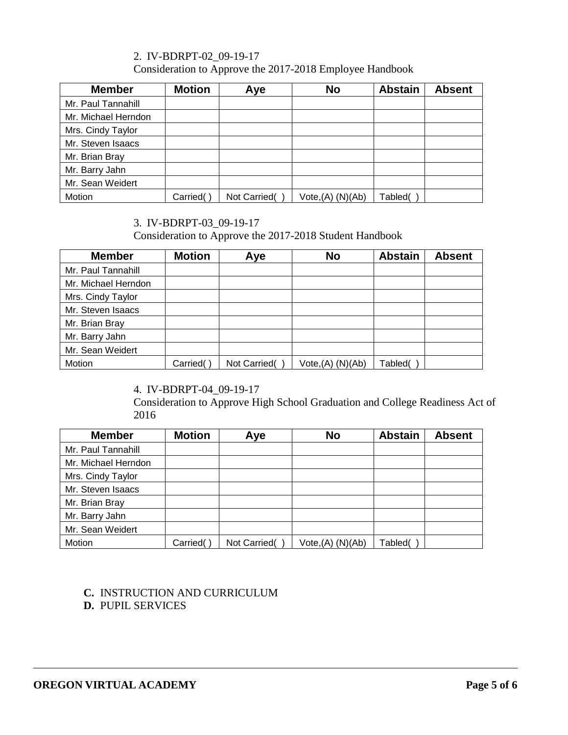### 2. IV-BDRPT-02\_09-19-17

Consideration to Approve the 2017-2018 Employee Handbook

| <b>Member</b>       | <b>Motion</b> | Aye          | <b>No</b>                     | <b>Abstain</b> | <b>Absent</b> |
|---------------------|---------------|--------------|-------------------------------|----------------|---------------|
| Mr. Paul Tannahill  |               |              |                               |                |               |
| Mr. Michael Herndon |               |              |                               |                |               |
| Mrs. Cindy Taylor   |               |              |                               |                |               |
| Mr. Steven Isaacs   |               |              |                               |                |               |
| Mr. Brian Bray      |               |              |                               |                |               |
| Mr. Barry Jahn      |               |              |                               |                |               |
| Mr. Sean Weidert    |               |              |                               |                |               |
| Motion              | Carried(      | Not Carried( | Vote <sub>1</sub> (A) (N)(Ab) | Tabled(        |               |

### 3. IV-BDRPT-03\_09-19-17

Consideration to Approve the 2017-2018 Student Handbook

| <b>Member</b>       | <b>Motion</b> | Aye          | <b>No</b>        | <b>Abstain</b> | <b>Absent</b> |
|---------------------|---------------|--------------|------------------|----------------|---------------|
| Mr. Paul Tannahill  |               |              |                  |                |               |
| Mr. Michael Herndon |               |              |                  |                |               |
| Mrs. Cindy Taylor   |               |              |                  |                |               |
| Mr. Steven Isaacs   |               |              |                  |                |               |
| Mr. Brian Bray      |               |              |                  |                |               |
| Mr. Barry Jahn      |               |              |                  |                |               |
| Mr. Sean Weidert    |               |              |                  |                |               |
| Motion              | Carried(      | Not Carried( | Vote,(A) (N)(Ab) | Tabled(        |               |

# 4. IV-BDRPT-04\_09-19-17

Consideration to Approve High School Graduation and College Readiness Act of 2016

| <b>Member</b>       | <b>Motion</b> | Aye          | <b>No</b>                     | <b>Abstain</b> | <b>Absent</b> |
|---------------------|---------------|--------------|-------------------------------|----------------|---------------|
| Mr. Paul Tannahill  |               |              |                               |                |               |
| Mr. Michael Herndon |               |              |                               |                |               |
| Mrs. Cindy Taylor   |               |              |                               |                |               |
| Mr. Steven Isaacs   |               |              |                               |                |               |
| Mr. Brian Bray      |               |              |                               |                |               |
| Mr. Barry Jahn      |               |              |                               |                |               |
| Mr. Sean Weidert    |               |              |                               |                |               |
| Motion              | Carried(      | Not Carried( | Vote <sub>1</sub> (A) (N)(Ab) | Tabled(        |               |

# **C.** INSTRUCTION AND CURRICULUM

**D.** PUPIL SERVICES